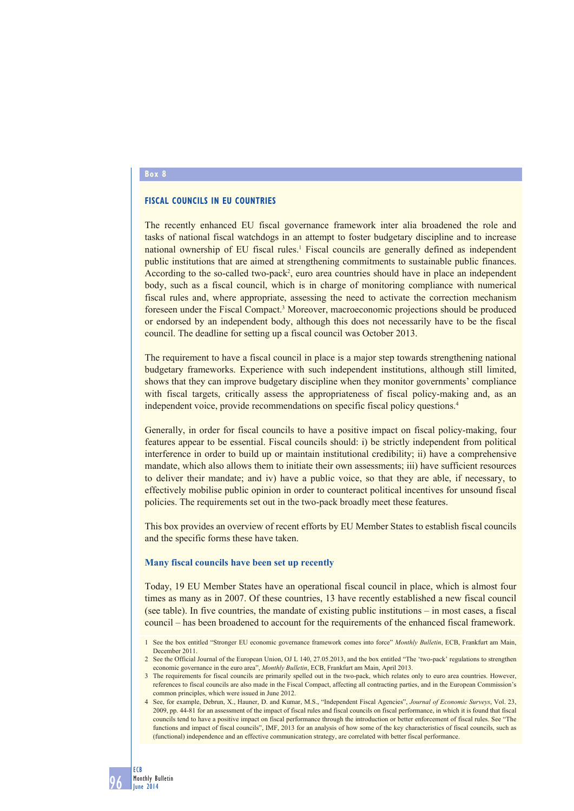#### **Box 8**

# **FISCAL COUNCILS IN EU COUNTRIES**

The recently enhanced EU fiscal governance framework inter alia broadened the role and tasks of national fiscal watchdogs in an attempt to foster budgetary discipline and to increase national ownership of EU fiscal rules.<sup>1</sup> Fiscal councils are generally defined as independent public institutions that are aimed at strengthening commitments to sustainable public finances. According to the so-called two-pack<sup>2</sup>, euro area countries should have in place an independent body, such as a fiscal council, which is in charge of monitoring compliance with numerical fiscal rules and, where appropriate, assessing the need to activate the correction mechanism foreseen under the Fiscal Compact.<sup>3</sup> Moreover, macroeconomic projections should be produced or endorsed by an independent body, although this does not necessarily have to be the fiscal council. The deadline for setting up a fiscal council was October 2013.

The requirement to have a fiscal council in place is a major step towards strengthening national budgetary frameworks. Experience with such independent institutions, although still limited, shows that they can improve budgetary discipline when they monitor governments' compliance with fiscal targets, critically assess the appropriateness of fiscal policy-making and, as an independent voice, provide recommendations on specific fiscal policy questions.4

Generally, in order for fiscal councils to have a positive impact on fiscal policy-making, four features appear to be essential. Fiscal councils should: i) be strictly independent from political interference in order to build up or maintain institutional credibility; ii) have a comprehensive mandate, which also allows them to initiate their own assessments; iii) have sufficient resources to deliver their mandate; and iv) have a public voice, so that they are able, if necessary, to effectively mobilise public opinion in order to counteract political incentives for unsound fiscal policies. The requirements set out in the two-pack broadly meet these features.

This box provides an overview of recent efforts by EU Member States to establish fiscal councils and the specific forms these have taken.

### **Many fiscal councils have been set up recently**

Today, 19 EU Member States have an operational fiscal council in place, which is almost four times as many as in 2007. Of these countries, 13 have recently established a new fiscal council (see table). In five countries, the mandate of existing public institutions – in most cases, a fiscal council – has been broadened to account for the requirements of the enhanced fiscal framework.

4 See, for example, Debrun, X., Hauner, D. and Kumar, M.S., "Independent Fiscal Agencies", *Journal of Economic Surveys*, Vol. 23, 2009, pp. 44-81 for an assessment of the impact of fiscal rules and fiscal councils on fiscal performance, in which it is found that fiscal councils tend to have a positive impact on fiscal performance through the introduction or better enforcement of fiscal rules. See "The functions and impact of fiscal councils". IMF, 2013 for an analysis of how some of the key characteristics of fiscal councils, such as (functional) independence and an effective communication strategy, are correlated with better fiscal performance.

<sup>1</sup> See the box entitled "Stronger EU economic governance framework comes into force" *Monthly Bulletin*, ECB, Frankfurt am Main, December 2011.

<sup>2</sup> See the Official Journal of the European Union, OJ L 140, 27.05.2013, and the box entitled "The 'two-pack' regulations to strengthen economic governance in the euro area", *Monthly Bulletin*, ECB, Frankfurt am Main, April 2013.

<sup>3</sup> The requirements for fiscal councils are primarily spelled out in the two-pack, which relates only to euro area countries. However, references to fiscal councils are also made in the Fiscal Compact, affecting all contracting parties, and in the European Commission's common principles, which were issued in June 2012.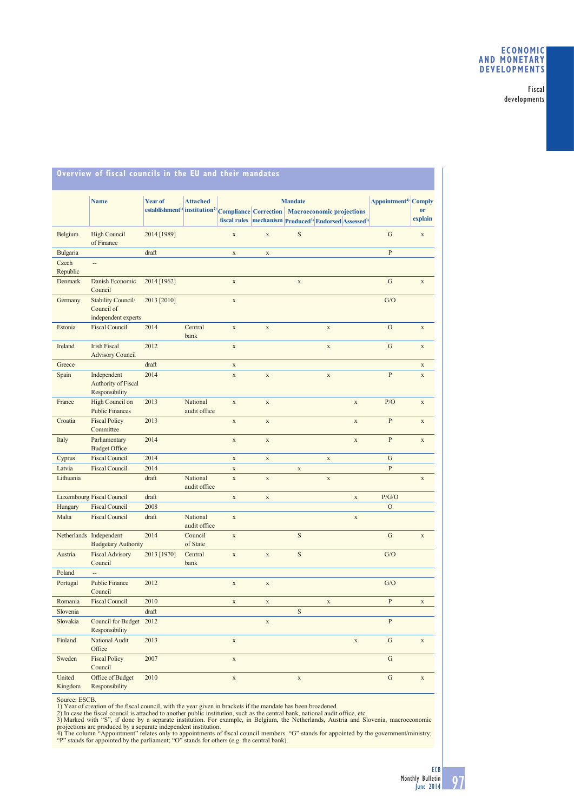# **ECONOMIC AND MONETARY DEVELOPMENTS**

Fiscal developments

|                   | <b>Name</b>                                             | <b>Year of</b> | <b>Attached</b>          |                    |              | <b>Mandate</b> | establishment <sup>1)</sup> institution <sup>2</sup> Compliance Correction   Macroeconomic projections<br>fiscal rules   mechanism   Produced <sup>3)</sup> Endorsed Assessed <sup>3)</sup> | Appointment <sup>4)</sup> Comply | <sub>or</sub><br>explain |
|-------------------|---------------------------------------------------------|----------------|--------------------------|--------------------|--------------|----------------|---------------------------------------------------------------------------------------------------------------------------------------------------------------------------------------------|----------------------------------|--------------------------|
| Belgium           | <b>High Council</b><br>of Finance                       | 2014 [1989]    |                          | $\mathbf X$        | $\mathbf x$  | S              |                                                                                                                                                                                             | G                                | $\mathbf X$              |
| Bulgaria          |                                                         | draft          |                          | $\mathbf X$        | $\mathbf x$  |                |                                                                                                                                                                                             | $\mathbf{P}$                     |                          |
| Czech<br>Republic | ÷.                                                      |                |                          |                    |              |                |                                                                                                                                                                                             |                                  |                          |
| Denmark           | Danish Economic<br>Council                              | 2014 [1962]    |                          | $\mathbf X$        |              | $\mathbf x$    |                                                                                                                                                                                             | $\mathbf G$                      | $\mathbf X$              |
| Germany           | Stability Council/<br>Council of<br>independent experts | 2013 [2010]    |                          | $\bar{\mathbf{X}}$ |              |                |                                                                                                                                                                                             | G/O                              |                          |
| Estonia           | <b>Fiscal Council</b>                                   | 2014           | Central<br>bank          | $\mathbf X$        | $\mathbf x$  |                | $\mathbf X$                                                                                                                                                                                 | $\mathcal{O}$                    | $\mathbf X$              |
| Ireland           | <b>Irish Fiscal</b><br><b>Advisory Council</b>          | 2012           |                          | $\mathbf X$        |              |                | $\mathbf x$                                                                                                                                                                                 | $\mathbf G$                      | $\mathbf X$              |
| Greece            |                                                         | draft          |                          | $\mathbf X$        |              |                |                                                                                                                                                                                             |                                  | $\mathbf X$              |
| Spain             | Independent<br>Authority of Fiscal<br>Responsibility    | 2014           |                          | $\bar{\mathbf{X}}$ | $\mathbf X$  |                | $\mathbf X$                                                                                                                                                                                 | $\mathbf{P}$                     | $\mathbf x$              |
| France            | High Council on<br><b>Public Finances</b>               | 2013           | National<br>audit office | $\mathbf x$        | $\mathbf{x}$ |                | $\bar{X}$                                                                                                                                                                                   | P/O                              | $\mathbf X$              |
| Croatia           | <b>Fiscal Policy</b><br>Committee                       | 2013           |                          | $\mathbf X$        | $\mathbf x$  |                | $\mathbf x$                                                                                                                                                                                 | $\mathbf{P}$                     | $\mathbf X$              |
| Italy             | Parliamentary<br><b>Budget Office</b>                   | 2014           |                          | $\bar{\mathbf{X}}$ | $\mathbf x$  |                | $\mathbf X$                                                                                                                                                                                 | $\overline{P}$                   | $\bar{X}$                |
| Cyprus            | <b>Fiscal Council</b>                                   | 2014           |                          | $\mathbf X$        | $\mathbf x$  |                | $\mathbf x$                                                                                                                                                                                 | $\mathbf G$                      |                          |
| Latvia            | <b>Fiscal Council</b>                                   | 2014           |                          | $\mathbf X$        |              | $\mathbf x$    |                                                                                                                                                                                             | $\mathbf{P}$                     |                          |
| Lithuania         |                                                         | draft          | National<br>audit office | $\mathbf X$        | $\mathbf x$  |                | $\mathbf X$                                                                                                                                                                                 |                                  | $\mathbf X$              |
|                   | <b>Luxembourg Fiscal Council</b>                        | draft          |                          | $\mathbf X$        | $\mathbf X$  |                | $\mathbf x$                                                                                                                                                                                 | P/G/O                            |                          |
| Hungary           | <b>Fiscal Council</b>                                   | 2008           |                          |                    |              |                |                                                                                                                                                                                             | $\overline{O}$                   |                          |
| Malta             | <b>Fiscal Council</b>                                   | draft          | National<br>audit office | $\mathbf X$        |              |                | $\mathbf X$                                                                                                                                                                                 |                                  |                          |
|                   | Netherlands Independent<br><b>Budgetary Authority</b>   | 2014           | Council<br>of State      | $\mathbf X$        |              | S              |                                                                                                                                                                                             | $\mathbf G$                      | $\mathbf X$              |
| Austria           | <b>Fiscal Advisory</b><br>Council                       | 2013 [1970]    | Central<br>bank          | $\mathbf X$        | $\bar{X}$    | $\mathbf S$    |                                                                                                                                                                                             | G/O                              |                          |
| Poland            |                                                         |                |                          |                    |              |                |                                                                                                                                                                                             |                                  |                          |
| Portugal          | <b>Public Finance</b><br>Council                        | 2012           |                          | $\mathbf X$        | $\mathbf x$  |                |                                                                                                                                                                                             | G/O                              |                          |
| Romania           | <b>Fiscal Council</b>                                   | 2010           |                          | $\mathbf X$        | $\mathbf x$  |                | $\mathbf X$                                                                                                                                                                                 | $\mathbf{P}$                     | $\mathbf X$              |
| Slovenia          |                                                         | draft          |                          |                    |              | S              |                                                                                                                                                                                             |                                  |                          |
| Slovakia          | <b>Council for Budget</b><br>Responsibility             | 2012           |                          |                    | $\mathbf x$  |                |                                                                                                                                                                                             | $\, {\bf p}$                     |                          |
| Finland           | National Audit<br>Office                                | 2013           |                          | $\mathbf X$        |              |                | $\mathbf X$                                                                                                                                                                                 | ${\bf G}$                        | $\mathbf x$              |
| Sweden            | <b>Fiscal Policy</b><br>Council                         | 2007           |                          | $\mathbf X$        |              |                |                                                                                                                                                                                             | ${\bf G}$                        |                          |
| United<br>Kingdom | Office of Budget<br>Responsibility                      | 2010           |                          | $\mathbf X$        |              | $\mathbf X$    |                                                                                                                                                                                             | ${\bf G}$                        | $\mathbf X$              |

**Overview of fiscal councils in the EU and their mandates**

Source: ESCB.<br>2) Year of creation of the fiscal council, with the year given in brackets if the mandate has been broadened.<br>2) In case the fiscal council is attached to another public institution, such as the central bank,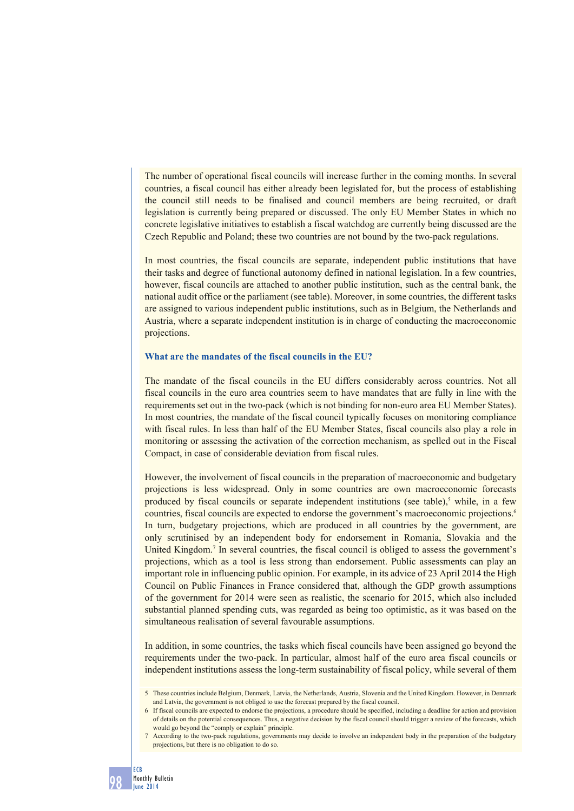The number of operational fiscal councils will increase further in the coming months. In several countries, a fiscal council has either already been legislated for, but the process of establishing the council still needs to be finalised and council members are being recruited, or draft legislation is currently being prepared or discussed. The only EU Member States in which no concrete legislative initiatives to establish a fiscal watchdog are currently being discussed are the Czech Republic and Poland; these two countries are not bound by the two-pack regulations.

In most countries, the fiscal councils are separate, independent public institutions that have their tasks and degree of functional autonomy defined in national legislation. In a few countries, however, fiscal councils are attached to another public institution, such as the central bank, the national audit office or the parliament (see table). Moreover, in some countries, the different tasks are assigned to various independent public institutions, such as in Belgium, the Netherlands and Austria, where a separate independent institution is in charge of conducting the macroeconomic projections.

### **What are the mandates of the fiscal councils in the EU?**

The mandate of the fiscal councils in the EU differs considerably across countries. Not all fiscal councils in the euro area countries seem to have mandates that are fully in line with the requirements set out in the two-pack (which is not binding for non-euro area EU Member States). In most countries, the mandate of the fiscal council typically focuses on monitoring compliance with fiscal rules. In less than half of the EU Member States, fiscal councils also play a role in monitoring or assessing the activation of the correction mechanism, as spelled out in the Fiscal Compact, in case of considerable deviation from fiscal rules.

However, the involvement of fiscal councils in the preparation of macroeconomic and budgetary projections is less widespread. Only in some countries are own macroeconomic forecasts produced by fiscal councils or separate independent institutions (see table),<sup>5</sup> while, in a few countries, fiscal councils are expected to endorse the government's macroeconomic projections.6 In turn, budgetary projections, which are produced in all countries by the government, are only scrutinised by an independent body for endorsement in Romania, Slovakia and the United Kingdom.<sup>7</sup> In several countries, the fiscal council is obliged to assess the government's projections, which as a tool is less strong than endorsement. Public assessments can play an important role in influencing public opinion. For example, in its advice of 23 April 2014 the High Council on Public Finances in France considered that, although the GDP growth assumptions of the government for 2014 were seen as realistic, the scenario for 2015, which also included substantial planned spending cuts, was regarded as being too optimistic, as it was based on the simultaneous realisation of several favourable assumptions.

In addition, in some countries, the tasks which fiscal councils have been assigned go beyond the requirements under the two-pack. In particular, almost half of the euro area fiscal councils or independent institutions assess the long-term sustainability of fiscal policy, while several of them

<sup>5.</sup> These countries include Belgium, Denmark, Latvia, the Netherlands, Austria, Slovenia and the United Kingdom. However, in Denmark and Latvia, the government is not obliged to use the forecast prepared by the fiscal council.

<sup>6</sup> If fiscal councils are expected to endorse the projections, a procedure should be specified, including a deadline for action and provision of details on the potential consequences. Thus, a negative decision by the fiscal council should trigger a review of the forecasts, which would go beyond the "comply or explain" principle.

<sup>7</sup> According to the two-pack regulations, governments may decide to involve an independent body in the preparation of the budgetary projections, but there is no obligation to do so.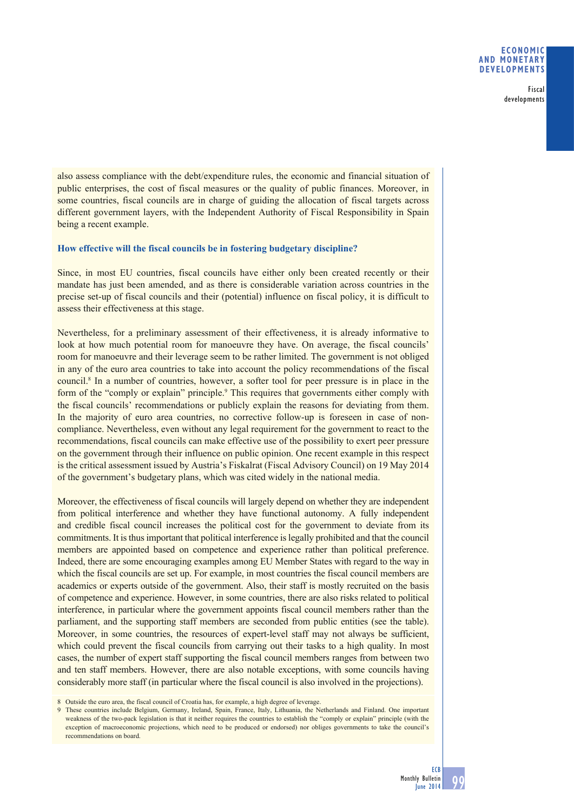### **ECONOMIC AND MONETARY DEVELOPMENTS**

Fiscal developments

also assess compliance with the debt/expenditure rules, the economic and financial situation of public enterprises, the cost of fiscal measures or the quality of public finances. Moreover, in some countries, fiscal councils are in charge of guiding the allocation of fiscal targets across different government layers, with the Independent Authority of Fiscal Responsibility in Spain being a recent example.

### **How effective will the fiscal councils be in fostering budgetary discipline?**

Since, in most EU countries, fiscal councils have either only been created recently or their mandate has just been amended, and as there is considerable variation across countries in the precise set-up of fiscal councils and their (potential) influence on fiscal policy, it is difficult to assess their effectiveness at this stage.

Nevertheless, for a preliminary assessment of their effectiveness, it is already informative to look at how much potential room for manoeuvre they have. On average, the fiscal councils' room for manoeuvre and their leverage seem to be rather limited. The government is not obliged in any of the euro area countries to take into account the policy recommendations of the fiscal council.<sup>8</sup> In a number of countries, however, a softer tool for peer pressure is in place in the form of the "comply or explain" principle.<sup>9</sup> This requires that governments either comply with the fiscal councils' recommendations or publicly explain the reasons for deviating from them. In the majority of euro area countries, no corrective follow-up is foreseen in case of noncompliance. Nevertheless, even without any legal requirement for the government to react to the recommendations, fiscal councils can make effective use of the possibility to exert peer pressure on the government through their influence on public opinion. One recent example in this respect is the critical assessment issued by Austria's Fiskalrat (Fiscal Advisory Council) on 19 May 2014 of the government's budgetary plans, which was cited widely in the national media.

Moreover, the effectiveness of fiscal councils will largely depend on whether they are independent from political interference and whether they have functional autonomy. A fully independent and credible fiscal council increases the political cost for the government to deviate from its commitments. It is thus important that political interference is legally prohibited and that the council members are appointed based on competence and experience rather than political preference. Indeed, there are some encouraging examples among EU Member States with regard to the way in which the fiscal councils are set up. For example, in most countries the fiscal council members are academics or experts outside of the government. Also, their staff is mostly recruited on the basis of competence and experience. However, in some countries, there are also risks related to political interference, in particular where the government appoints fiscal council members rather than the parliament, and the supporting staff members are seconded from public entities (see the table). Moreover, in some countries, the resources of expert-level staff may not always be sufficient, which could prevent the fiscal councils from carrying out their tasks to a high quality. In most cases, the number of expert staff supporting the fiscal council members ranges from between two and ten staff members. However, there are also notable exceptions, with some councils having considerably more staff (in particular where the fiscal council is also involved in the projections).

<sup>8</sup> Outside the euro area, the fiscal council of Croatia has, for example, a high degree of leverage.

<sup>9</sup> These countries include Belgium, Germany, Ireland, Spain, France, Italy, Lithuania, the Netherlands and Finland. One important weakness of the two-pack legislation is that it neither requires the countries to establish the "comply or explain" principle (with the exception of macroeconomic projections, which need to be produced or endorsed) nor obliges governments to take the council's recommendations on board.